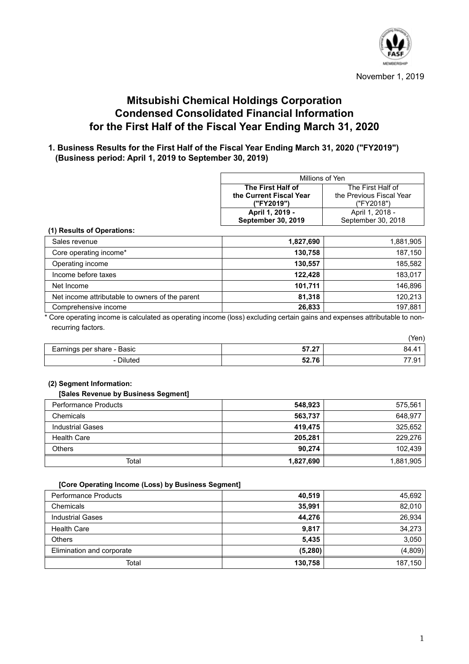

# **Mitsubishi Chemical Holdings Corporation Condensed Consolidated Financial Information for the First Half of the Fiscal Year Ending March 31, 2020**

# **1. Business Results for the First Half of the Fiscal Year Ending March 31, 2020 ("FY2019") (Business period: April 1, 2019 to September 30, 2019)**

| Millions of Yen           |                          |  |  |
|---------------------------|--------------------------|--|--|
| The First Half of         | The First Half of        |  |  |
| the Current Fiscal Year   | the Previous Fiscal Year |  |  |
| ("FY2019")                | ("FY2018")               |  |  |
| April 1, 2019 -           | April 1, 2018 -          |  |  |
| <b>September 30, 2019</b> | September 30, 2018       |  |  |

#### **(1) Results of Operations:**

| Sales revenue                                   | 1,827,690 | 1,881,905 |
|-------------------------------------------------|-----------|-----------|
| Core operating income*                          | 130,758   | 187,150   |
| Operating income                                | 130,557   | 185,582   |
| Income before taxes                             | 122.428   | 183.017   |
| Net Income                                      | 101,711   | 146.896   |
| Net income attributable to owners of the parent | 81.318    | 120.213   |
| Comprehensive income                            | 26,833    | 197.881   |

\* Core operating income is calculated as operating income (loss) excluding certain gains and expenses attributable to nonrecurring factors.

|                            |              | ren) |
|----------------------------|--------------|------|
| Earnings per share - Basic | $-7.07$<br>. | 84.4 |
| <b>Diluted</b><br>$\sim$   | E27C<br>54.1 | ت.   |

#### **(2) Segment Information:**

#### **[Sales Revenue by Business Segment]**

| <b>Performance Products</b> | 548,923   | 575,561   |
|-----------------------------|-----------|-----------|
| Chemicals                   | 563,737   | 648,977   |
| <b>Industrial Gases</b>     | 419,475   | 325,652   |
| <b>Health Care</b>          | 205.281   | 229,276   |
| <b>Others</b>               | 90.274    | 102.439   |
| Total                       | 1,827,690 | 1,881,905 |

#### **[Core Operating Income (Loss) by Business Segment]**

| <b>Performance Products</b> | 40,519   | 45,692  |
|-----------------------------|----------|---------|
| Chemicals                   | 35,991   | 82,010  |
| <b>Industrial Gases</b>     | 44,276   | 26,934  |
| <b>Health Care</b>          | 9.817    | 34,273  |
| <b>Others</b>               | 5,435    | 3,050   |
| Elimination and corporate   | (5, 280) | (4,809) |
| Total                       | 130,758  | 187,150 |

 $(Y<sub>z</sub>)$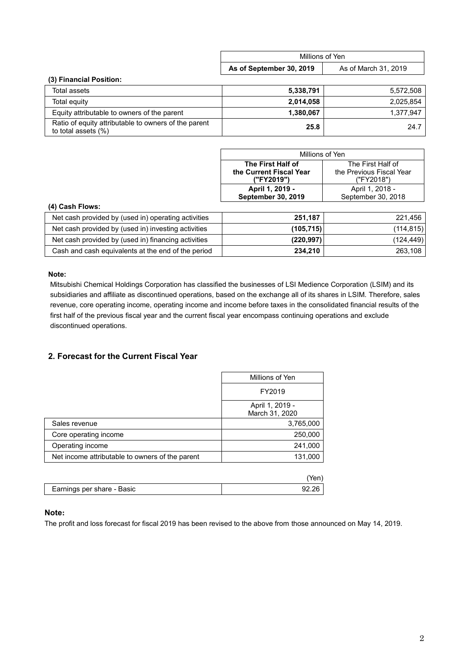|                                                                             | Millions of Yen          |                      |
|-----------------------------------------------------------------------------|--------------------------|----------------------|
|                                                                             | As of September 30, 2019 | As of March 31, 2019 |
| (3) Financial Position:                                                     |                          |                      |
| Total assets                                                                | 5,338,791                | 5,572,508            |
| Total equity                                                                | 2,014,058                | 2.025.854            |
| Equity attributable to owners of the parent                                 | 1,380,067                | 1,377,947            |
| Ratio of equity attributable to owners of the parent<br>to total assets (%) | 25.8                     | 24.7                 |

| Millions of Yen                                     |                   |  |  |
|-----------------------------------------------------|-------------------|--|--|
| The First Half of                                   | The First Half of |  |  |
| the Previous Fiscal Year<br>the Current Fiscal Year |                   |  |  |
| ("FY2019")<br>("FY2018")                            |                   |  |  |
| April 1, 2019 -                                     | April 1, 2018 -   |  |  |
| September 30, 2019<br>September 30, 2018            |                   |  |  |

### **(4) Cash Flows:**

| Net cash provided by (used in) operating activities | 251.187    | 221,456    |
|-----------------------------------------------------|------------|------------|
| Net cash provided by (used in) investing activities | (105,715)  | (114, 815) |
| Net cash provided by (used in) financing activities | (220, 997) | (124, 449) |
| Cash and cash equivalents at the end of the period  | 234.210    | 263,108    |

#### **Note:**

Mitsubishi Chemical Holdings Corporation has classified the businesses of LSI Medience Corporation (LSIM) and its subsidiaries and affiliate as discontinued operations, based on the exchange all of its shares in LSIM. Therefore, sales revenue, core operating income, operating income and income before taxes in the consolidated financial results of the first half of the previous fiscal year and the current fiscal year encompass continuing operations and exclude discontinued operations.

## **2. Forecast for the Current Fiscal Year**

|                                                 | Millions of Yen                   |  |
|-------------------------------------------------|-----------------------------------|--|
|                                                 | FY2019                            |  |
|                                                 | April 1, 2019 -<br>March 31, 2020 |  |
| Sales revenue                                   | 3,765,000                         |  |
| Core operating income                           | 250,000                           |  |
| Operating income                                | 241,000                           |  |
| Net income attributable to owners of the parent | 131,000                           |  |
|                                                 |                                   |  |
|                                                 | Yeni                              |  |

| Earnings per share - Basic |  |
|----------------------------|--|
|                            |  |

## **Note:**

The profit and loss forecast for fiscal 2019 has been revised to the above from those announced on May 14, 2019.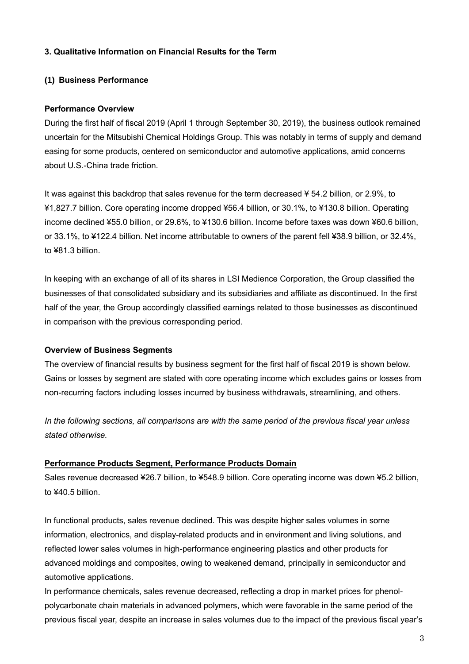# **3. Qualitative Information on Financial Results for the Term**

## **(1) Business Performance**

## **Performance Overview**

During the first half of fiscal 2019 (April 1 through September 30, 2019), the business outlook remained uncertain for the Mitsubishi Chemical Holdings Group. This was notably in terms of supply and demand easing for some products, centered on semiconductor and automotive applications, amid concerns about U.S.-China trade friction.

It was against this backdrop that sales revenue for the term decreased ¥ 54.2 billion, or 2.9%, to ¥1,827.7 billion. Core operating income dropped ¥56.4 billion, or 30.1%, to ¥130.8 billion. Operating income declined ¥55.0 billion, or 29.6%, to ¥130.6 billion. Income before taxes was down ¥60.6 billion, or 33.1%, to ¥122.4 billion. Net income attributable to owners of the parent fell ¥38.9 billion, or 32.4%, to ¥81.3 billion.

In keeping with an exchange of all of its shares in LSI Medience Corporation, the Group classified the businesses of that consolidated subsidiary and its subsidiaries and affiliate as discontinued. In the first half of the year, the Group accordingly classified earnings related to those businesses as discontinued in comparison with the previous corresponding period.

#### **Overview of Business Segments**

The overview of financial results by business segment for the first half of fiscal 2019 is shown below. Gains or losses by segment are stated with core operating income which excludes gains or losses from non-recurring factors including losses incurred by business withdrawals, streamlining, and others.

*In the following sections, all comparisons are with the same period of the previous fiscal year unless stated otherwise.*

## **Performance Products Segment, Performance Products Domain**

Sales revenue decreased ¥26.7 billion, to ¥548.9 billion. Core operating income was down ¥5.2 billion, to ¥40.5 billion.

In functional products, sales revenue declined. This was despite higher sales volumes in some information, electronics, and display-related products and in environment and living solutions, and reflected lower sales volumes in high-performance engineering plastics and other products for advanced moldings and composites, owing to weakened demand, principally in semiconductor and automotive applications.

In performance chemicals, sales revenue decreased, reflecting a drop in market prices for phenolpolycarbonate chain materials in advanced polymers, which were favorable in the same period of the previous fiscal year, despite an increase in sales volumes due to the impact of the previous fiscal year's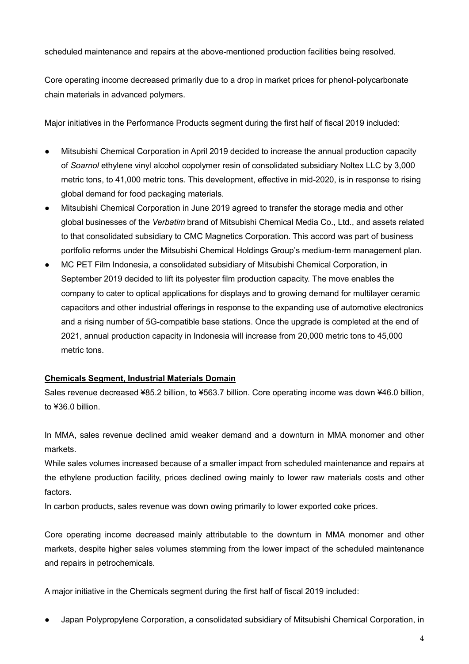scheduled maintenance and repairs at the above-mentioned production facilities being resolved.

Core operating income decreased primarily due to a drop in market prices for phenol-polycarbonate chain materials in advanced polymers.

Major initiatives in the Performance Products segment during the first half of fiscal 2019 included:

- Mitsubishi Chemical Corporation in April 2019 decided to increase the annual production capacity of *Soarnol* ethylene vinyl alcohol copolymer resin of consolidated subsidiary Noltex LLC by 3,000 metric tons, to 41,000 metric tons. This development, effective in mid-2020, is in response to rising global demand for food packaging materials.
- Mitsubishi Chemical Corporation in June 2019 agreed to transfer the storage media and other global businesses of the *Verbatim* brand of Mitsubishi Chemical Media Co., Ltd., and assets related to that consolidated subsidiary to CMC Magnetics Corporation. This accord was part of business portfolio reforms under the Mitsubishi Chemical Holdings Group's medium-term management plan.
- MC PET Film Indonesia, a consolidated subsidiary of Mitsubishi Chemical Corporation, in September 2019 decided to lift its polyester film production capacity. The move enables the company to cater to optical applications for displays and to growing demand for multilayer ceramic capacitors and other industrial offerings in response to the expanding use of automotive electronics and a rising number of 5G-compatible base stations. Once the upgrade is completed at the end of 2021, annual production capacity in Indonesia will increase from 20,000 metric tons to 45,000 metric tons.

# **Chemicals Segment, Industrial Materials Domain**

Sales revenue decreased ¥85.2 billion, to ¥563.7 billion. Core operating income was down ¥46.0 billion, to ¥36.0 billion.

In MMA, sales revenue declined amid weaker demand and a downturn in MMA monomer and other markets.

While sales volumes increased because of a smaller impact from scheduled maintenance and repairs at the ethylene production facility, prices declined owing mainly to lower raw materials costs and other factors.

In carbon products, sales revenue was down owing primarily to lower exported coke prices.

Core operating income decreased mainly attributable to the downturn in MMA monomer and other markets, despite higher sales volumes stemming from the lower impact of the scheduled maintenance and repairs in petrochemicals.

A major initiative in the Chemicals segment during the first half of fiscal 2019 included:

Japan Polypropylene Corporation, a consolidated subsidiary of Mitsubishi Chemical Corporation, in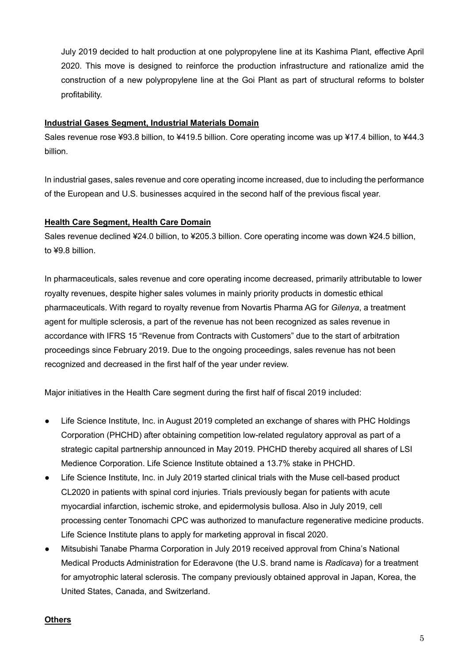July 2019 decided to halt production at one polypropylene line at its Kashima Plant, effective April 2020. This move is designed to reinforce the production infrastructure and rationalize amid the construction of a new polypropylene line at the Goi Plant as part of structural reforms to bolster profitability.

# **Industrial Gases Segment, Industrial Materials Domain**

Sales revenue rose ¥93.8 billion, to ¥419.5 billion. Core operating income was up ¥17.4 billion, to ¥44.3 billion.

In industrial gases, sales revenue and core operating income increased, due to including the performance of the European and U.S. businesses acquired in the second half of the previous fiscal year.

# **Health Care Segment, Health Care Domain**

Sales revenue declined ¥24.0 billion, to ¥205.3 billion. Core operating income was down ¥24.5 billion, to ¥9.8 billion.

In pharmaceuticals, sales revenue and core operating income decreased, primarily attributable to lower royalty revenues, despite higher sales volumes in mainly priority products in domestic ethical pharmaceuticals. With regard to royalty revenue from Novartis Pharma AG for *Gilenya*, a treatment agent for multiple sclerosis, a part of the revenue has not been recognized as sales revenue in accordance with IFRS 15 "Revenue from Contracts with Customers" due to the start of arbitration proceedings since February 2019. Due to the ongoing proceedings, sales revenue has not been recognized and decreased in the first half of the year under review.

Major initiatives in the Health Care segment during the first half of fiscal 2019 included:

- Life Science Institute, Inc. in August 2019 completed an exchange of shares with PHC Holdings Corporation (PHCHD) after obtaining competition low-related regulatory approval as part of a strategic capital partnership announced in May 2019. PHCHD thereby acquired all shares of LSI Medience Corporation. Life Science Institute obtained a 13.7% stake in PHCHD.
- Life Science Institute, Inc. in July 2019 started clinical trials with the Muse cell-based product CL2020 in patients with spinal cord injuries. Trials previously began for patients with acute myocardial infarction, ischemic stroke, and epidermolysis bullosa. Also in July 2019, cell processing center Tonomachi CPC was authorized to manufacture regenerative medicine products. Life Science Institute plans to apply for marketing approval in fiscal 2020.
- Mitsubishi Tanabe Pharma Corporation in July 2019 received approval from China's National Medical Products Administration for Ederavone (the U.S. brand name is *Radicava*) for a treatment for amyotrophic lateral sclerosis. The company previously obtained approval in Japan, Korea, the United States, Canada, and Switzerland.

## **Others**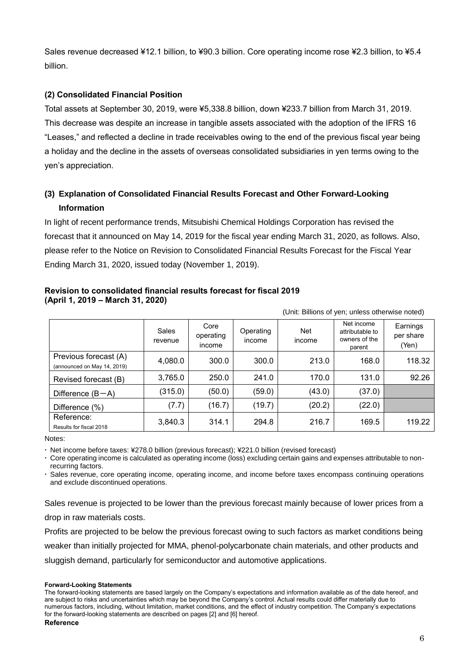Sales revenue decreased ¥12.1 billion, to ¥90.3 billion. Core operating income rose ¥2.3 billion, to ¥5.4 billion.

# **(2) Consolidated Financial Position**

Total assets at September 30, 2019, were ¥5,338.8 billion, down ¥233.7 billion from March 31, 2019. This decrease was despite an increase in tangible assets associated with the adoption of the IFRS 16 "Leases," and reflected a decline in trade receivables owing to the end of the previous fiscal year being a holiday and the decline in the assets of overseas consolidated subsidiaries in yen terms owing to the yen's appreciation.

# **(3) Explanation of Consolidated Financial Results Forecast and Other Forward-Looking Information**

In light of recent performance trends, Mitsubishi Chemical Holdings Corporation has revised the forecast that it announced on May 14, 2019 for the fiscal year ending March 31, 2020, as follows. Also, please refer to the Notice on Revision to Consolidated Financial Results Forecast for the Fiscal Year Ending March 31, 2020, issued today (November 1, 2019).

# **Revision to consolidated financial results forecast for fiscal 2019 (April 1, 2019 – March 31, 2020)**

| onii. Dilliono of yori, urlioss olitorwise holegy    |                  |                             |                     |               |                                                          |                                |
|------------------------------------------------------|------------------|-----------------------------|---------------------|---------------|----------------------------------------------------------|--------------------------------|
|                                                      | Sales<br>revenue | Core<br>operating<br>income | Operating<br>income | Net<br>income | Net income<br>attributable to<br>owners of the<br>parent | Earnings<br>per share<br>(Yen) |
| Previous forecast (A)<br>(announced on May 14, 2019) | 4,080.0          | 300.0                       | 300.0               | 213.0         | 168.0                                                    | 118.32                         |
| Revised forecast (B)                                 | 3,765.0          | 250.0                       | 241.0               | 170.0         | 131.0                                                    | 92.26                          |
| Difference $(B-A)$                                   | (315.0)          | (50.0)                      | (59.0)              | (43.0)        | (37.0)                                                   |                                |
| Difference (%)                                       | (7.7)            | (16.7)                      | (19.7)              | (20.2)        | (22.0)                                                   |                                |
| Reference:<br>Results for fiscal 2018                | 3,840.3          | 314.1                       | 294.8               | 216.7         | 169.5                                                    | 119.22                         |

(Unit: Billions of yen; unless otherwise noted)

Notes:

Net income before taxes: ¥278.0 billion (previous forecast); ¥221.0 billion (revised forecast)

 Core operating income is calculated as operating income (loss) excluding certain gains and expenses attributable to nonrecurring factors.

 Sales revenue, core operating income, operating income, and income before taxes encompass continuing operations and exclude discontinued operations.

Sales revenue is projected to be lower than the previous forecast mainly because of lower prices from a drop in raw materials costs.

Profits are projected to be below the previous forecast owing to such factors as market conditions being weaker than initially projected for MMA, phenol-polycarbonate chain materials, and other products and sluggish demand, particularly for semiconductor and automotive applications.

#### **Forward-Looking Statements**

The forward-looking statements are based largely on the Company's expectations and information available as of the date hereof, and are subject to risks and uncertainties which may be beyond the Company's control. Actual results could differ materially due to numerous factors, including, without limitation, market conditions, and the effect of industry competition. The Company's expectations for the forward-looking statements are described on pages [2] and [6] hereof.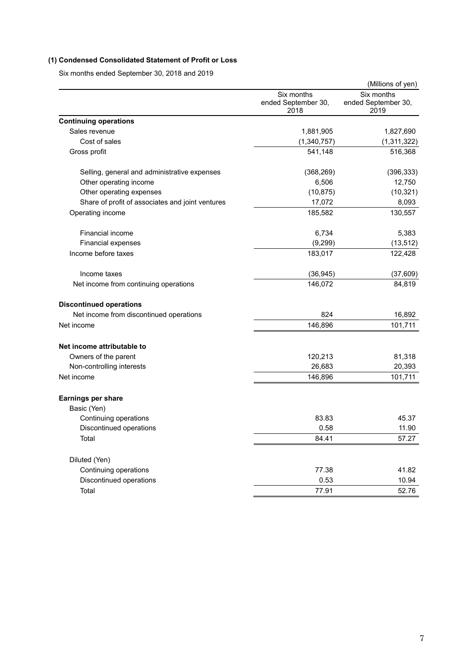# **(1) Condensed Consolidated Statement of Profit or Loss**

Six months ended September 30, 2018 and 2019

|                                                  |                                           | (Millions of yen)                         |
|--------------------------------------------------|-------------------------------------------|-------------------------------------------|
|                                                  | Six months<br>ended September 30,<br>2018 | Six months<br>ended September 30,<br>2019 |
| <b>Continuing operations</b>                     |                                           |                                           |
| Sales revenue                                    | 1,881,905                                 | 1,827,690                                 |
| Cost of sales                                    | (1,340,757)                               | (1, 311, 322)                             |
| Gross profit                                     | 541,148                                   | 516,368                                   |
| Selling, general and administrative expenses     | (368, 269)                                | (396, 333)                                |
| Other operating income                           | 6,506                                     | 12,750                                    |
| Other operating expenses                         | (10, 875)                                 | (10, 321)                                 |
| Share of profit of associates and joint ventures | 17,072                                    | 8,093                                     |
| Operating income                                 | 185,582                                   | 130,557                                   |
| <b>Financial income</b>                          | 6,734                                     | 5,383                                     |
| Financial expenses                               | (9, 299)                                  | (13, 512)                                 |
| Income before taxes                              | 183,017                                   | 122,428                                   |
| Income taxes                                     | (36, 945)                                 | (37, 609)                                 |
| Net income from continuing operations            | 146,072                                   | 84,819                                    |
| <b>Discontinued operations</b>                   |                                           |                                           |
| Net income from discontinued operations          | 824                                       | 16,892                                    |
| Net income                                       | 146,896                                   | 101,711                                   |
| Net income attributable to                       |                                           |                                           |
| Owners of the parent                             | 120,213                                   | 81,318                                    |
| Non-controlling interests                        | 26,683                                    | 20,393                                    |
| Net income                                       | 146,896                                   | 101,711                                   |
| <b>Earnings per share</b>                        |                                           |                                           |
| Basic (Yen)                                      |                                           |                                           |
| Continuing operations                            | 83.83                                     | 45.37                                     |
| Discontinued operations                          | 0.58                                      | 11.90                                     |
| Total                                            | 84.41                                     | 57.27                                     |
| Diluted (Yen)                                    |                                           |                                           |
| Continuing operations                            | 77.38                                     | 41.82                                     |
| Discontinued operations                          | 0.53                                      | 10.94                                     |
| Total                                            | 77.91                                     | 52.76                                     |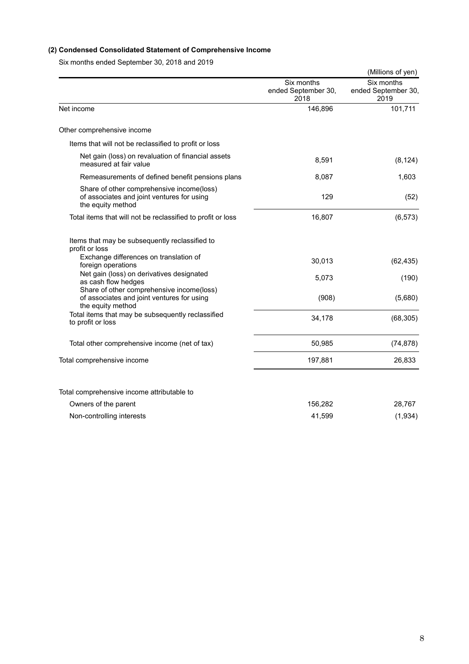# **(2) Condensed Consolidated Statement of Comprehensive Income**

Six months ended September 30, 2018 and 2019

|                                                                                                              |                                           | (Millions of yen)                         |
|--------------------------------------------------------------------------------------------------------------|-------------------------------------------|-------------------------------------------|
|                                                                                                              | Six months<br>ended September 30,<br>2018 | Six months<br>ended September 30,<br>2019 |
| Net income                                                                                                   | 146,896                                   | 101,711                                   |
| Other comprehensive income                                                                                   |                                           |                                           |
| Items that will not be reclassified to profit or loss                                                        |                                           |                                           |
| Net gain (loss) on revaluation of financial assets<br>measured at fair value                                 | 8,591                                     | (8, 124)                                  |
| Remeasurements of defined benefit pensions plans                                                             | 8,087                                     | 1,603                                     |
| Share of other comprehensive income(loss)<br>of associates and joint ventures for using<br>the equity method | 129                                       | (52)                                      |
| Total items that will not be reclassified to profit or loss                                                  | 16,807                                    | (6, 573)                                  |
| Items that may be subsequently reclassified to<br>profit or loss                                             |                                           |                                           |
| Exchange differences on translation of<br>foreign operations                                                 | 30,013                                    | (62, 435)                                 |
| Net gain (loss) on derivatives designated<br>as cash flow hedges                                             | 5,073                                     | (190)                                     |
| Share of other comprehensive income(loss)<br>of associates and joint ventures for using<br>the equity method | (908)                                     | (5,680)                                   |
| Total items that may be subsequently reclassified<br>to profit or loss                                       | 34,178                                    | (68, 305)                                 |
| Total other comprehensive income (net of tax)                                                                | 50,985                                    | (74, 878)                                 |
| Total comprehensive income                                                                                   | 197,881                                   | 26,833                                    |
|                                                                                                              |                                           |                                           |
| Total comprehensive income attributable to                                                                   |                                           |                                           |
| Owners of the parent                                                                                         | 156,282                                   | 28,767                                    |
| Non-controlling interests                                                                                    | 41,599                                    | (1,934)                                   |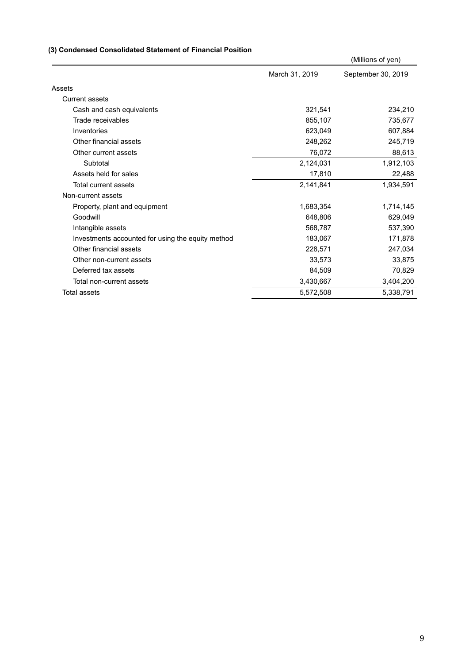# **(3) Condensed Consolidated Statement of Financial Position**

|                                                   |                | (Millions of yen)  |
|---------------------------------------------------|----------------|--------------------|
|                                                   | March 31, 2019 | September 30, 2019 |
| Assets                                            |                |                    |
| <b>Current assets</b>                             |                |                    |
| Cash and cash equivalents                         | 321,541        | 234,210            |
| Trade receivables                                 | 855,107        | 735,677            |
| Inventories                                       | 623,049        | 607,884            |
| Other financial assets                            | 248,262        | 245,719            |
| Other current assets                              | 76,072         | 88,613             |
| Subtotal                                          | 2,124,031      | 1,912,103          |
| Assets held for sales                             | 17,810         | 22,488             |
| Total current assets                              | 2,141,841      | 1,934,591          |
| Non-current assets                                |                |                    |
| Property, plant and equipment                     | 1,683,354      | 1,714,145          |
| Goodwill                                          | 648,806        | 629,049            |
| Intangible assets                                 | 568,787        | 537,390            |
| Investments accounted for using the equity method | 183,067        | 171,878            |
| Other financial assets                            | 228,571        | 247,034            |
| Other non-current assets                          | 33,573         | 33,875             |
| Deferred tax assets                               | 84,509         | 70,829             |
| Total non-current assets                          | 3,430,667      | 3,404,200          |
| <b>Total assets</b>                               | 5,572,508      | 5,338,791          |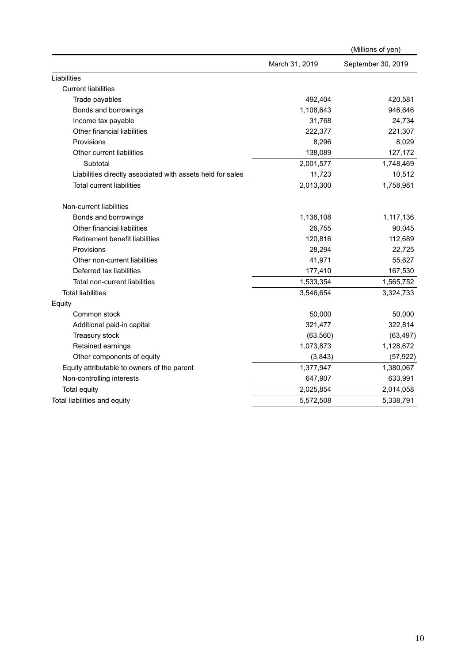|                                                            |                | (Millions of yen)  |
|------------------------------------------------------------|----------------|--------------------|
|                                                            | March 31, 2019 | September 30, 2019 |
| Liabilities                                                |                |                    |
| <b>Current liabilities</b>                                 |                |                    |
| Trade payables                                             | 492,404        | 420,581            |
| Bonds and borrowings                                       | 1,108,643      | 946,646            |
| Income tax payable                                         | 31,768         | 24,734             |
| Other financial liabilities                                | 222,377        | 221,307            |
| Provisions                                                 | 8,296          | 8,029              |
| Other current liabilities                                  | 138,089        | 127,172            |
| Subtotal                                                   | 2,001,577      | 1,748,469          |
| Liabilities directly associated with assets held for sales | 11,723         | 10,512             |
| <b>Total current liabilities</b>                           | 2,013,300      | 1,758,981          |
| Non-current liabilities                                    |                |                    |
| Bonds and borrowings                                       | 1,138,108      | 1,117,136          |
| Other financial liabilities                                | 26,755         | 90,045             |
| <b>Retirement benefit liabilities</b>                      | 120,816        | 112,689            |
| Provisions                                                 | 28,294         | 22,725             |
| Other non-current liabilities                              | 41,971         | 55,627             |
| Deferred tax liabilities                                   | 177,410        | 167,530            |
| Total non-current liabilities                              | 1,533,354      | 1,565,752          |
| <b>Total liabilities</b>                                   | 3,546,654      | 3,324,733          |
| Equity                                                     |                |                    |
| Common stock                                               | 50,000         | 50,000             |
| Additional paid-in capital                                 | 321,477        | 322,814            |
| Treasury stock                                             | (63, 560)      | (63, 497)          |
| Retained earnings                                          | 1,073,873      | 1,128,672          |
| Other components of equity                                 | (3,843)        | (57, 922)          |
| Equity attributable to owners of the parent                | 1,377,947      | 1,380,067          |
| Non-controlling interests                                  | 647,907        | 633,991            |
| Total equity                                               | 2,025,854      | 2,014,058          |
| Total liabilities and equity                               | 5,572,508      | 5,338,791          |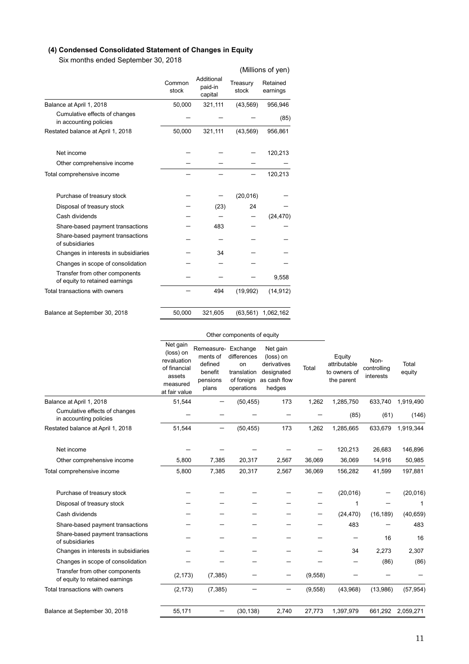# **(4) Condensed Consolidated Statement of Changes in Equity**

Six months ended September 30, 2018

|                                                                  |                 |                                  |                   | (Millions of yen)    |
|------------------------------------------------------------------|-----------------|----------------------------------|-------------------|----------------------|
|                                                                  | Common<br>stock | Additional<br>paid-in<br>capital | Treasury<br>stock | Retained<br>earnings |
| Balance at April 1, 2018                                         | 50,000          | 321,111                          | (43, 569)         | 956,946              |
| Cumulative effects of changes<br>in accounting policies          |                 |                                  |                   | (85)                 |
| Restated balance at April 1, 2018                                | 50,000          | 321,111                          | (43, 569)         | 956,861              |
| Net income                                                       |                 |                                  |                   | 120,213              |
| Other comprehensive income                                       |                 |                                  |                   |                      |
| Total comprehensive income                                       |                 |                                  |                   | 120,213              |
| Purchase of treasury stock                                       |                 |                                  | (20, 016)         |                      |
| Disposal of treasury stock                                       |                 | (23)                             | 24                |                      |
| Cash dividends                                                   |                 |                                  |                   | (24, 470)            |
| Share-based payment transactions                                 |                 | 483                              |                   |                      |
| Share-based payment transactions<br>of subsidiaries              |                 |                                  |                   |                      |
| Changes in interests in subsidiaries                             |                 | 34                               |                   |                      |
| Changes in scope of consolidation                                |                 |                                  |                   |                      |
| Transfer from other components<br>of equity to retained earnings |                 |                                  |                   | 9,558                |
| Total transactions with owners                                   |                 | 494                              | (19,992)          | (14, 912)            |
| Balance at September 30, 2018                                    | 50,000          | 321,605                          | (63, 561)         | 1,062,162            |

|                                                                                         | Other components of equity                                                                  |                                                                            |                                                              |                                                                              |          |                                                      |                                  |                   |
|-----------------------------------------------------------------------------------------|---------------------------------------------------------------------------------------------|----------------------------------------------------------------------------|--------------------------------------------------------------|------------------------------------------------------------------------------|----------|------------------------------------------------------|----------------------------------|-------------------|
|                                                                                         | Net gain<br>(loss) on<br>revaluation<br>of financial<br>assets<br>measured<br>at fair value | Remeasure- Exchange<br>ments of<br>defined<br>benefit<br>pensions<br>plans | differences<br>on<br>translation<br>of foreign<br>operations | Net gain<br>(loss) on<br>derivatives<br>designated<br>as cash flow<br>hedges | Total    | Equity<br>attributable<br>to owners of<br>the parent | Non-<br>controlling<br>interests | Total<br>equity   |
| Balance at April 1, 2018                                                                | 51,544                                                                                      |                                                                            | (50, 455)                                                    | 173                                                                          | 1,262    | 1,285,750                                            | 633,740                          | 1,919,490         |
| Cumulative effects of changes<br>in accounting policies                                 |                                                                                             |                                                                            |                                                              |                                                                              |          | (85)                                                 | (61)                             | (146)             |
| Restated balance at April 1, 2018                                                       | 51,544                                                                                      |                                                                            | (50, 455)                                                    | 173                                                                          | 1,262    | 1,285,665                                            | 633,679                          | 1,919,344         |
| Net income<br>Other comprehensive income                                                | 5,800                                                                                       | 7,385                                                                      | 20,317                                                       | 2,567                                                                        | 36,069   | 120,213<br>36,069                                    | 26.683<br>14,916                 | 146,896<br>50,985 |
| Total comprehensive income                                                              | 5,800                                                                                       | 7,385                                                                      | 20,317                                                       | 2,567                                                                        | 36,069   | 156,282                                              | 41,599                           | 197,881           |
| Purchase of treasury stock                                                              |                                                                                             |                                                                            |                                                              |                                                                              |          | (20, 016)                                            |                                  | (20, 016)         |
| Disposal of treasury stock                                                              |                                                                                             |                                                                            |                                                              |                                                                              |          | 1                                                    |                                  | 1                 |
|                                                                                         |                                                                                             |                                                                            |                                                              |                                                                              |          |                                                      |                                  |                   |
| Cash dividends                                                                          |                                                                                             |                                                                            |                                                              |                                                                              |          | (24, 470)                                            | (16, 189)                        | (40, 659)         |
| Share-based payment transactions<br>Share-based payment transactions<br>of subsidiaries |                                                                                             |                                                                            |                                                              |                                                                              |          | 483                                                  | 16                               | 483<br>16         |
| Changes in interests in subsidiaries                                                    |                                                                                             |                                                                            |                                                              |                                                                              |          | 34                                                   | 2,273                            | 2,307             |
| Changes in scope of consolidation                                                       |                                                                                             |                                                                            |                                                              |                                                                              |          |                                                      | (86)                             | (86)              |
| Transfer from other components<br>of equity to retained earnings                        | (2, 173)                                                                                    | (7, 385)                                                                   |                                                              |                                                                              | (9,558)  |                                                      |                                  |                   |
| Total transactions with owners                                                          | (2, 173)                                                                                    | (7, 385)                                                                   |                                                              | —                                                                            | (9, 558) | (43,968)                                             | (13,986)                         | (57, 954)         |
| Balance at September 30, 2018                                                           | 55,171                                                                                      |                                                                            | (30, 138)                                                    | 2,740                                                                        | 27,773   | 1,397,979                                            |                                  | 661,292 2,059,271 |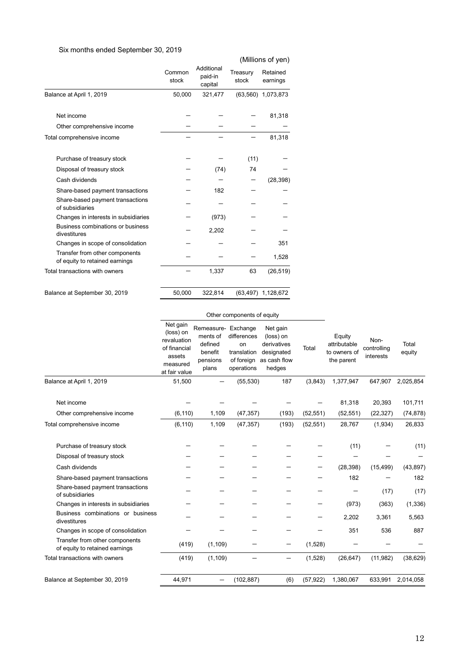# Six months ended September 30, 2019

|                                                                  |                 |                                  |                   | (Millions of yen)    |
|------------------------------------------------------------------|-----------------|----------------------------------|-------------------|----------------------|
|                                                                  | Common<br>stock | Additional<br>paid-in<br>capital | Treasury<br>stock | Retained<br>earnings |
| Balance at April 1, 2019                                         | 50,000          | 321,477                          | (63, 560)         | 1,073,873            |
| Net income                                                       |                 |                                  |                   | 81,318               |
| Other comprehensive income                                       |                 |                                  |                   |                      |
| Total comprehensive income                                       |                 |                                  |                   | 81,318               |
| Purchase of treasury stock                                       |                 |                                  | (11)              |                      |
| Disposal of treasury stock                                       |                 | (74)                             | 74                |                      |
| Cash dividends                                                   |                 |                                  |                   | (28, 398)            |
| Share-based payment transactions                                 |                 | 182                              |                   |                      |
| Share-based payment transactions<br>of subsidiaries              |                 |                                  |                   |                      |
| Changes in interests in subsidiaries                             |                 | (973)                            |                   |                      |
| Business combinations or business<br>divestitures                |                 | 2,202                            |                   |                      |
| Changes in scope of consolidation                                |                 |                                  |                   | 351                  |
| Transfer from other components<br>of equity to retained earnings |                 |                                  |                   | 1,528                |
| Total transactions with owners                                   |                 | 1,337                            | 63                | (26, 519)            |
| Balance at September 30, 2019                                    | 50,000          | 322,814                          |                   | (63,497) 1,128,672   |

#### Other components of equity

|                                                                  | Net gain<br>(loss) on<br>revaluation<br>of financial<br>assets<br>measured<br>at fair value | Remeasure- Exchange<br>ments of<br>defined<br>benefit<br>pensions<br>plans | differences<br>on<br>translation<br>of foreign<br>operations | Net gain<br>(loss) on<br>derivatives<br>designated<br>as cash flow<br>hedges | Total     | Equity<br>attributable<br>to owners of<br>the parent | Non-<br>controlling<br>interests | Total<br>equity |
|------------------------------------------------------------------|---------------------------------------------------------------------------------------------|----------------------------------------------------------------------------|--------------------------------------------------------------|------------------------------------------------------------------------------|-----------|------------------------------------------------------|----------------------------------|-----------------|
| Balance at April 1, 2019                                         | 51,500                                                                                      |                                                                            | (55, 530)                                                    | 187                                                                          | (3, 843)  | 1,377,947                                            | 647,907                          | 2,025,854       |
| Net income                                                       |                                                                                             |                                                                            |                                                              |                                                                              |           | 81,318                                               | 20,393                           | 101,711         |
| Other comprehensive income                                       | (6, 110)                                                                                    | 1,109                                                                      | (47, 357)                                                    | (193)                                                                        | (52, 551) | (52, 551)                                            | (22, 327)                        | (74, 878)       |
| Total comprehensive income                                       | (6, 110)                                                                                    | 1,109                                                                      | (47, 357)                                                    | (193)                                                                        | (52, 551) | 28,767                                               | (1,934)                          | 26,833          |
| Purchase of treasury stock                                       |                                                                                             |                                                                            |                                                              |                                                                              |           | (11)                                                 |                                  | (11)            |
| Disposal of treasury stock                                       |                                                                                             |                                                                            |                                                              |                                                                              |           |                                                      |                                  |                 |
| Cash dividends                                                   |                                                                                             |                                                                            |                                                              |                                                                              |           | (28, 398)                                            | (15, 499)                        | (43, 897)       |
| Share-based payment transactions                                 |                                                                                             |                                                                            |                                                              |                                                                              |           | 182                                                  |                                  | 182             |
| Share-based payment transactions<br>of subsidiaries              |                                                                                             |                                                                            |                                                              |                                                                              |           |                                                      | (17)                             | (17)            |
| Changes in interests in subsidiaries                             |                                                                                             |                                                                            |                                                              |                                                                              |           | (973)                                                | (363)                            | (1, 336)        |
| Business combinations or business<br>divestitures                |                                                                                             |                                                                            |                                                              |                                                                              |           | 2,202                                                | 3,361                            | 5,563           |
| Changes in scope of consolidation                                |                                                                                             |                                                                            |                                                              |                                                                              |           | 351                                                  | 536                              | 887             |
| Transfer from other components<br>of equity to retained earnings | (419)                                                                                       | (1, 109)                                                                   |                                                              |                                                                              | (1,528)   |                                                      |                                  |                 |
| Total transactions with owners                                   | (419)                                                                                       | (1, 109)                                                                   |                                                              | —                                                                            | (1,528)   | (26, 647)                                            | (11, 982)                        | (38, 629)       |
| Balance at September 30, 2019                                    | 44,971                                                                                      |                                                                            | (102, 887)                                                   | (6)                                                                          | (57, 922) | 1,380,067                                            | 633,991                          | 2,014,058       |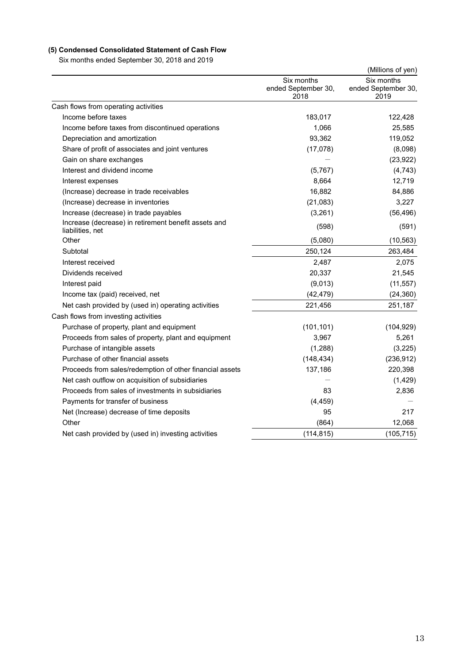# **(5) Condensed Consolidated Statement of Cash Flow**

Six months ended September 30, 2018 and 2019

|                                                                          |                                           | (Millions of yen)                         |
|--------------------------------------------------------------------------|-------------------------------------------|-------------------------------------------|
|                                                                          | Six months<br>ended September 30,<br>2018 | Six months<br>ended September 30,<br>2019 |
| Cash flows from operating activities                                     |                                           |                                           |
| Income before taxes                                                      | 183,017                                   | 122,428                                   |
| Income before taxes from discontinued operations                         | 1,066                                     | 25,585                                    |
| Depreciation and amortization                                            | 93,362                                    | 119,052                                   |
| Share of profit of associates and joint ventures                         | (17,078)                                  | (8,098)                                   |
| Gain on share exchanges                                                  |                                           | (23, 922)                                 |
| Interest and dividend income                                             | (5,767)                                   | (4, 743)                                  |
| Interest expenses                                                        | 8,664                                     | 12,719                                    |
| (Increase) decrease in trade receivables                                 | 16,882                                    | 84,886                                    |
| (Increase) decrease in inventories                                       | (21,083)                                  | 3,227                                     |
| Increase (decrease) in trade payables                                    | (3,261)                                   | (56, 496)                                 |
| Increase (decrease) in retirement benefit assets and<br>liabilities, net | (598)                                     | (591)                                     |
| Other                                                                    | (5,080)                                   | (10, 563)                                 |
| Subtotal                                                                 | 250,124                                   | 263,484                                   |
| Interest received                                                        | 2,487                                     | 2,075                                     |
| Dividends received                                                       | 20,337                                    | 21,545                                    |
| Interest paid                                                            | (9,013)                                   | (11, 557)                                 |
| Income tax (paid) received, net                                          | (42, 479)                                 | (24, 360)                                 |
| Net cash provided by (used in) operating activities                      | 221,456                                   | 251,187                                   |
| Cash flows from investing activities                                     |                                           |                                           |
| Purchase of property, plant and equipment                                | (101, 101)                                | (104, 929)                                |
| Proceeds from sales of property, plant and equipment                     | 3,967                                     | 5,261                                     |
| Purchase of intangible assets                                            | (1,288)                                   | (3,225)                                   |
| Purchase of other financial assets                                       | (148, 434)                                | (236, 912)                                |
| Proceeds from sales/redemption of other financial assets                 | 137,186                                   | 220,398                                   |
| Net cash outflow on acquisition of subsidiaries                          |                                           | (1, 429)                                  |
| Proceeds from sales of investments in subsidiaries                       | 83                                        | 2,836                                     |
| Payments for transfer of business                                        | (4, 459)                                  |                                           |
| Net (Increase) decrease of time deposits                                 | 95                                        | 217                                       |
| Other                                                                    | (864)                                     | 12,068                                    |
| Net cash provided by (used in) investing activities                      | (114, 815)                                | (105, 715)                                |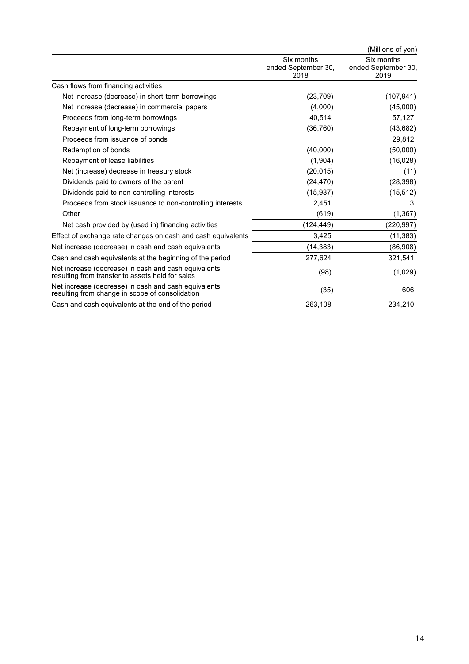|                                                                                                          |                                           | (Millions of yen)                         |
|----------------------------------------------------------------------------------------------------------|-------------------------------------------|-------------------------------------------|
|                                                                                                          | Six months<br>ended September 30,<br>2018 | Six months<br>ended September 30,<br>2019 |
| Cash flows from financing activities                                                                     |                                           |                                           |
| Net increase (decrease) in short-term borrowings                                                         | (23, 709)                                 | (107, 941)                                |
| Net increase (decrease) in commercial papers                                                             | (4,000)                                   | (45,000)                                  |
| Proceeds from long-term borrowings                                                                       | 40,514                                    | 57,127                                    |
| Repayment of long-term borrowings                                                                        | (36, 760)                                 | (43, 682)                                 |
| Proceeds from issuance of bonds                                                                          |                                           | 29,812                                    |
| Redemption of bonds                                                                                      | (40,000)                                  | (50,000)                                  |
| Repayment of lease liabilities                                                                           | (1,904)                                   | (16, 028)                                 |
| Net (increase) decrease in treasury stock                                                                | (20, 015)                                 | (11)                                      |
| Dividends paid to owners of the parent                                                                   | (24, 470)                                 | (28, 398)                                 |
| Dividends paid to non-controlling interests                                                              | (15, 937)                                 | (15, 512)                                 |
| Proceeds from stock issuance to non-controlling interests                                                | 2,451                                     | 3                                         |
| Other                                                                                                    | (619)                                     | (1, 367)                                  |
| Net cash provided by (used in) financing activities                                                      | (124, 449)                                | (220, 997)                                |
| Effect of exchange rate changes on cash and cash equivalents                                             | 3,425                                     | (11, 383)                                 |
| Net increase (decrease) in cash and cash equivalents                                                     | (14, 383)                                 | (86,908)                                  |
| Cash and cash equivalents at the beginning of the period                                                 | 277,624                                   | 321,541                                   |
| Net increase (decrease) in cash and cash equivalents<br>resulting from transfer to assets held for sales | (98)                                      | (1,029)                                   |
| Net increase (decrease) in cash and cash equivalents<br>resulting from change in scope of consolidation  | (35)                                      | 606                                       |
| Cash and cash equivalents at the end of the period                                                       | 263,108                                   | 234,210                                   |